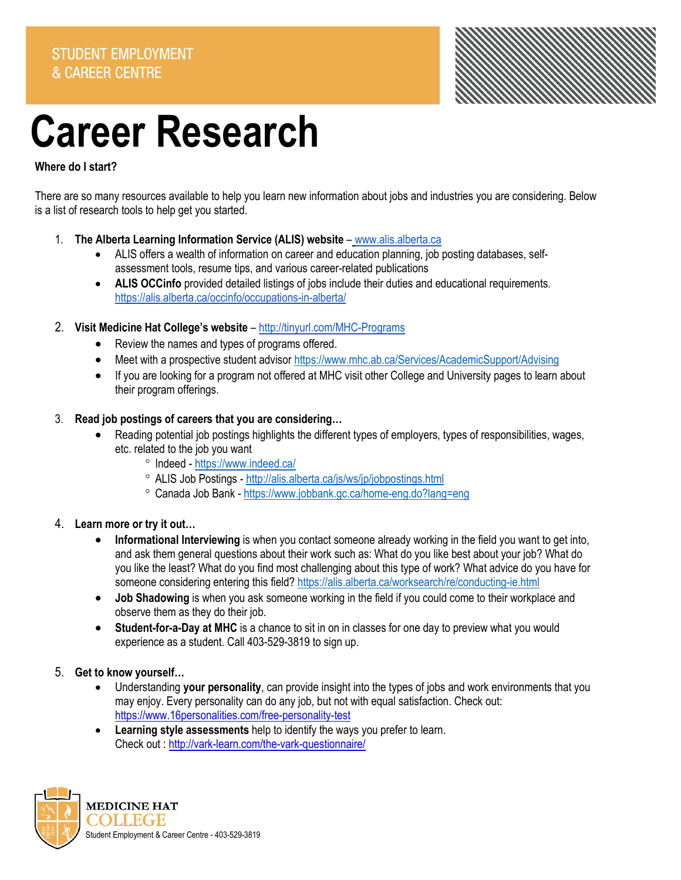

# **Career Research**

# **Where do I start?**

There are so many resources available to help you learn new information about jobs and industries you are considering. Below is a list of research tools to help get you started.

- 1. **The Alberta Learning Information Service (ALIS) website [www.alis.alberta.ca](http://www.alis.alberta.ca/)** 
	- ALIS offers a wealth of information on career and education planning, job posting databases, selfassessment tools, resume tips, and various career-related publications
	- **ALIS OCCinfo** provided detailed listings of jobs include their duties and educational requirements. <https://alis.alberta.ca/occinfo/occupations-in-alberta/>
- 2. **Visit Medicine Hat College's website** <http://tinyurl.com/MHC-Programs>
	- Review the names and types of programs offered.
	- Meet with a prospective student advisor https://www.mhc.ab.ca/Services/AcademicSupport/Advising
	- If you are looking for a program not offered at MHC visit other College and University pages to learn about their program offerings.

## 3. **Read job postings of careers that you are considering…**

- Reading potential job postings highlights the different types of employers, types of responsibilities, wages, etc. related to the job you want
	- ° Indeed <https://www.indeed.ca/>
	- ° ALIS Job Postings <http://alis.alberta.ca/js/ws/jp/jobpostings.html>
	- ° Canada Job Bank <https://www.jobbank.gc.ca/home-eng.do?lang=eng>

## 4. **Learn more or try it out…**

- **Informational Interviewing** is when you contact someone already working in the field you want to get into, and ask them general questions about their work such as: What do you like best about your job? What do you like the least? What do you find most challenging about this type of work? What advice do you have for someone considering entering this field[? https://alis.alberta.ca/worksearch/re/conducting-ie.html](https://alis.alberta.ca/worksearch/re/conducting-ie.html)
- **Job Shadowing** is when you ask someone working in the field if you could come to their workplace and observe them as they do their job.
- **Student-for-a-Day at MHC** is a chance to sit in on in classes for one day to preview what you would experience as a student. Call 403-529-3819 to sign up.
- 5. **Get to know yourself…**
	- Understanding **your personality**, can provide insight into the types of jobs and work environments that you may enjoy. Every personality can do any job, but not with equal satisfaction. Check out: <https://www.16personalities.com/free-personality-test>
	- **Learning style assessments** help to identify the ways you prefer to learn. Check out [: http://vark-learn.com/the-vark-questionnaire/](http://vark-learn.com/the-vark-questionnaire/)